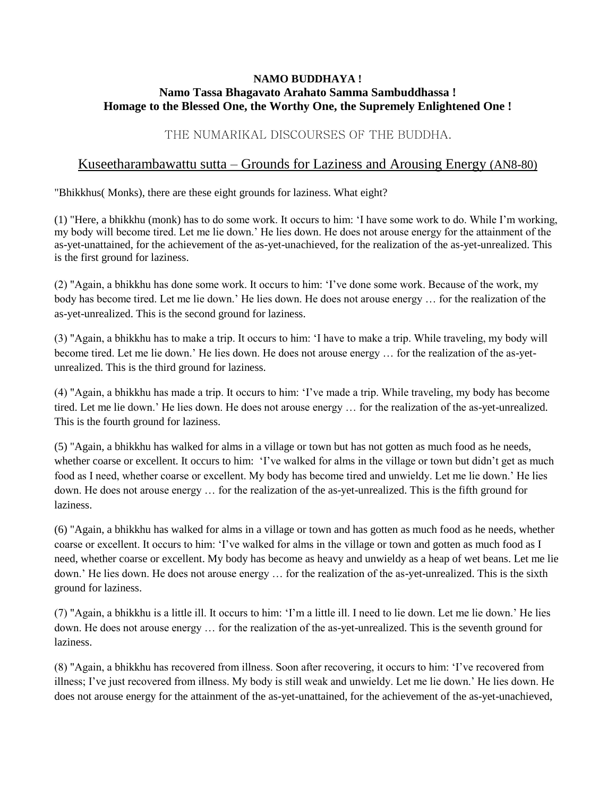## **NAMO BUDDHAYA ! Namo Tassa Bhagavato Arahato Samma Sambuddhassa ! Homage to the Blessed One, the Worthy One, the Supremely Enlightened One !**

## THE NUMARIKAL DISCOURSES OF THE BUDDHA.

## Kuseetharambawattu sutta – Grounds for Laziness and Arousing Energy (AN8-80)

"Bhikkhus( Monks), there are these eight grounds for laziness. What eight?

(1) "Here, a bhikkhu (monk) has to do some work. It occurs to him: 'I have some work to do. While I'm working, my body will become tired. Let me lie down.' He lies down. He does not arouse energy for the attainment of the as-yet-unattained, for the achievement of the as-yet-unachieved, for the realization of the as-yet-unrealized. This is the first ground for laziness.

(2) "Again, a bhikkhu has done some work. It occurs to him: 'I've done some work. Because of the work, my body has become tired. Let me lie down.' He lies down. He does not arouse energy … for the realization of the as-yet-unrealized. This is the second ground for laziness.

(3) "Again, a bhikkhu has to make a trip. It occurs to him: 'I have to make a trip. While traveling, my body will become tired. Let me lie down.' He lies down. He does not arouse energy … for the realization of the as-yetunrealized. This is the third ground for laziness.

(4) "Again, a bhikkhu has made a trip. It occurs to him: 'I've made a trip. While traveling, my body has become tired. Let me lie down.' He lies down. He does not arouse energy … for the realization of the as-yet-unrealized. This is the fourth ground for laziness.

(5) "Again, a bhikkhu has walked for alms in a village or town but has not gotten as much food as he needs, whether coarse or excellent. It occurs to him: 'I've walked for alms in the village or town but didn't get as much food as I need, whether coarse or excellent. My body has become tired and unwieldy. Let me lie down.' He lies down. He does not arouse energy … for the realization of the as-yet-unrealized. This is the fifth ground for laziness.

(6) "Again, a bhikkhu has walked for alms in a village or town and has gotten as much food as he needs, whether coarse or excellent. It occurs to him: 'I've walked for alms in the village or town and gotten as much food as I need, whether coarse or excellent. My body has become as heavy and unwieldy as a heap of wet beans. Let me lie down.' He lies down. He does not arouse energy … for the realization of the as-yet-unrealized. This is the sixth ground for laziness.

(7) "Again, a bhikkhu is a little ill. It occurs to him: 'I'm a little ill. I need to lie down. Let me lie down.' He lies down. He does not arouse energy … for the realization of the as-yet-unrealized. This is the seventh ground for laziness.

(8) "Again, a bhikkhu has recovered from illness. Soon after recovering, it occurs to him: 'I've recovered from illness; I've just recovered from illness. My body is still weak and unwieldy. Let me lie down.' He lies down. He does not arouse energy for the attainment of the as-yet-unattained, for the achievement of the as-yet-unachieved,